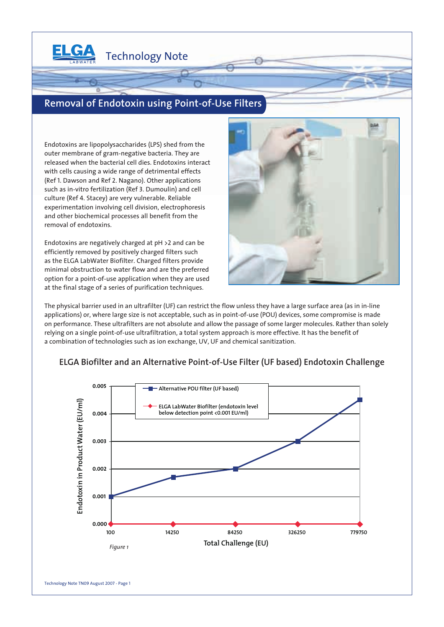

# **Removal of Endotoxin using Point-of-Use Filters**

Technology Note

Endotoxins are lipopolysaccharides (LPS) shed from the outer membrane of gram-negative bacteria. They are released when the bacterial cell dies. Endotoxins interact with cells causing a wide range of detrimental effects (Ref 1. Dawson and Ref 2. Nagano). Other applications such as in-vitro fertilization (Ref 3. Dumoulin) and cell culture (Ref 4. Stacey) are very vulnerable. Reliable experimentation involving cell division, electrophoresis and other biochemical processes all benefit from the removal of endotoxins.

Endotoxins are negatively charged at pH >2 and can be efficiently removed by positively charged filters such as the ELGA LabWater Biofilter. Charged filters provide minimal obstruction to water flow and are the preferred option for a point-of-use application when they are used at the final stage of a series of purification techniques.



The physical barrier used in an ultrafilter (UF) can restrict the flow unless they have a large surface area (as in in-line applications) or, where large size is not acceptable, such as in point-of-use (POU) devices, some compromise is made on performance. These ultrafilters are not absolute and allow the passage of some larger molecules. Rather than solely relying on a single point-of-use ultrafiltration, a total system approach is more effective. It has the benefit of a combination of technologies such as ion exchange, UV, UF and chemical sanitization.



### **ELGA Biofilter and an Alternative Point-of-Use Filter (UF based) Endotoxin Challenge**